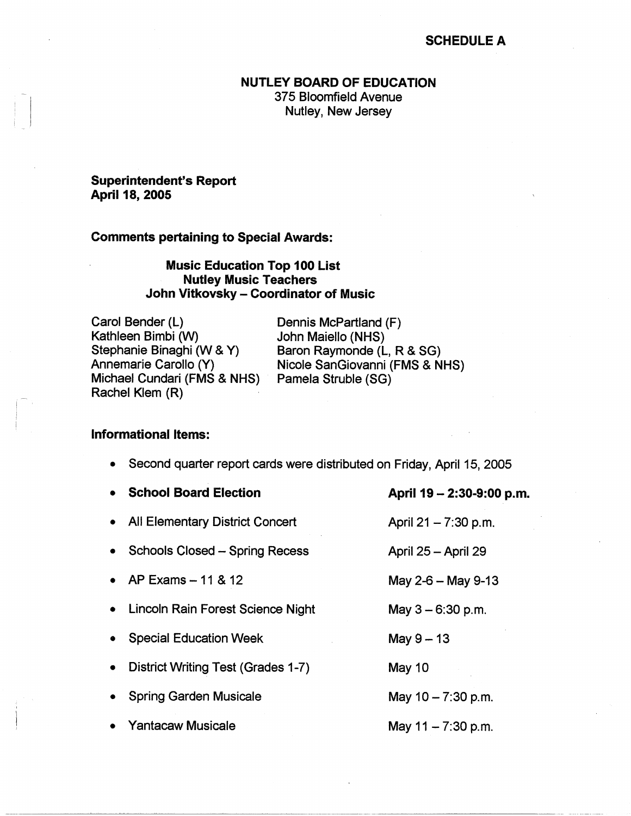## SCHEDULE A

## NUTLEY **BOARD** OF EDUCATION

375 Bloomfield Avenue Nutley, New Jersey

## **Superintendent's Report April 18, 2005**

#### **Comments pertaining to Special Awards:**

# **Music Education Top 100 List Nutley Music Teachers John Vitkovsky - Coordinator of Music**

Carol Bender (L) Kathleen Bimbi (W) Stephanie Binaghi (W & **Y)**  Annemarie Carollo (Y) Michael Cundari (FMS & NHS) Rachel Klem (R)

Dennis McPartland (F) John Maiello (NHS) Baron Raymonde (L, R & SG) Nicole SanGiovanni (FMS & NHS) Pamela Struble (SG)

## **Informational Items:**

|           | • School Board Election               | April 19 – 2:30-9:00 p.m. |
|-----------|---------------------------------------|---------------------------|
|           | • All Elementary District Concert     | April 21 – 7:30 p.m.      |
|           | <b>Schools Closed - Spring Recess</b> | April 25 - April 29       |
|           | • AP Exams $-11 & 812$                | May 2-6 $-$ May 9-13      |
|           | • Lincoln Rain Forest Science Night   | May $3 - 6:30$ p.m.       |
| $\bullet$ | <b>Special Education Week</b>         | May $9-13$                |
|           | District Writing Test (Grades 1-7)    | May 10                    |
|           | <b>Spring Garden Musicale</b>         | May $10 - 7:30$ p.m.      |
|           | • Yantacaw Musicale                   | May $11 - 7:30$ p.m.      |

• Second quarter report cards were distributed on Friday, April 15, 2005